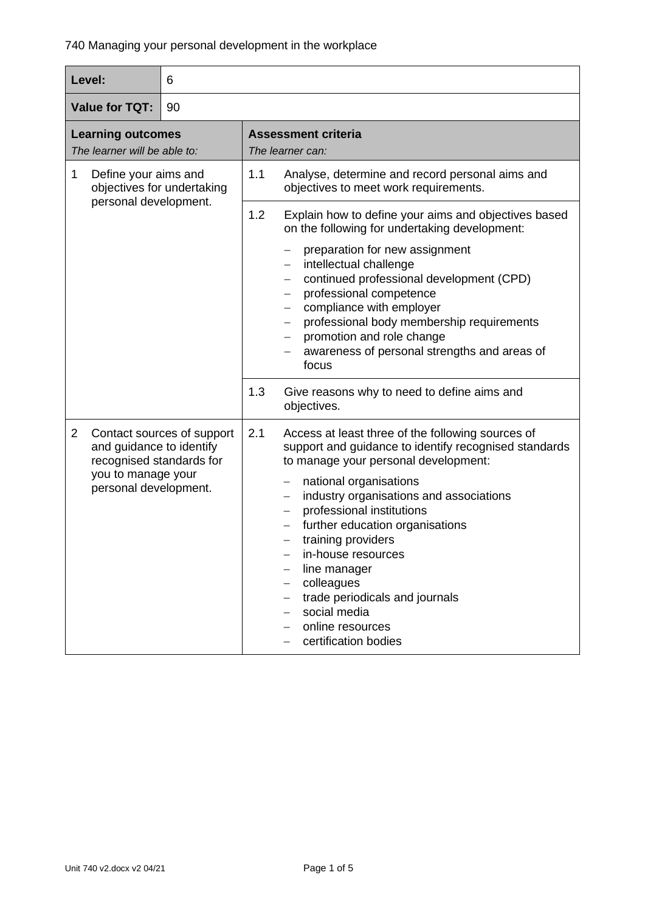| Level:<br>6                                                                                                           |                            |                                                           |                                                                                                                                                                                                                                                                                                                                                                                                                                                                 |  |
|-----------------------------------------------------------------------------------------------------------------------|----------------------------|-----------------------------------------------------------|-----------------------------------------------------------------------------------------------------------------------------------------------------------------------------------------------------------------------------------------------------------------------------------------------------------------------------------------------------------------------------------------------------------------------------------------------------------------|--|
| <b>Value for TQT:</b><br>90                                                                                           |                            |                                                           |                                                                                                                                                                                                                                                                                                                                                                                                                                                                 |  |
| <b>Learning outcomes</b><br>The learner will be able to:                                                              |                            | <b>Assessment criteria</b><br>The learner can:            |                                                                                                                                                                                                                                                                                                                                                                                                                                                                 |  |
| Define your aims and<br>1<br>objectives for undertaking<br>personal development.                                      |                            | 1.1<br>1.2                                                | Analyse, determine and record personal aims and<br>objectives to meet work requirements.<br>Explain how to define your aims and objectives based                                                                                                                                                                                                                                                                                                                |  |
|                                                                                                                       |                            | $\qquad \qquad -$<br>focus                                | on the following for undertaking development:<br>preparation for new assignment<br>intellectual challenge<br>continued professional development (CPD)<br>professional competence<br>compliance with employer<br>professional body membership requirements<br>promotion and role change<br>awareness of personal strengths and areas of                                                                                                                          |  |
|                                                                                                                       |                            | 1.3<br>objectives.                                        | Give reasons why to need to define aims and                                                                                                                                                                                                                                                                                                                                                                                                                     |  |
| $\overline{2}$<br>and guidance to identify<br>recognised standards for<br>you to manage your<br>personal development. | Contact sources of support | 2.1<br>—<br>$\overline{\phantom{0}}$<br>$\qquad \qquad -$ | Access at least three of the following sources of<br>support and guidance to identify recognised standards<br>to manage your personal development:<br>national organisations<br>industry organisations and associations<br>professional institutions<br>further education organisations<br>training providers<br>in-house resources<br>line manager<br>colleagues<br>trade periodicals and journals<br>social media<br>online resources<br>certification bodies |  |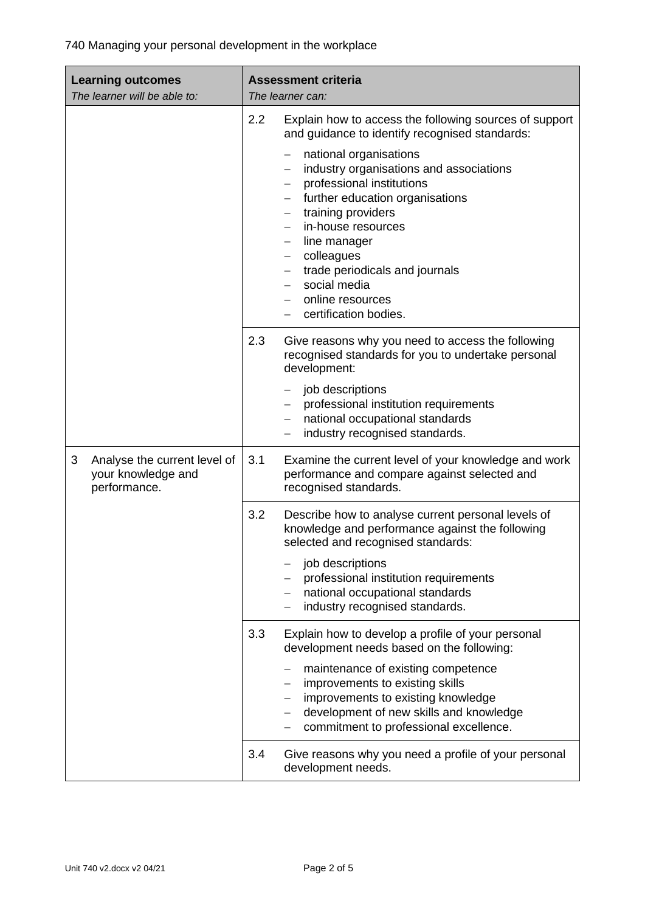| <b>Learning outcomes</b><br>The learner will be able to:                | <b>Assessment criteria</b><br>The learner can:                                                                                                                                                                                                                                                                                              |  |
|-------------------------------------------------------------------------|---------------------------------------------------------------------------------------------------------------------------------------------------------------------------------------------------------------------------------------------------------------------------------------------------------------------------------------------|--|
|                                                                         | 2.2<br>Explain how to access the following sources of support<br>and guidance to identify recognised standards:                                                                                                                                                                                                                             |  |
|                                                                         | national organisations<br>—<br>industry organisations and associations<br>professional institutions<br>further education organisations<br>training providers<br>in-house resources<br>line manager<br>colleagues<br>$\overline{\phantom{0}}$<br>trade periodicals and journals<br>social media<br>online resources<br>certification bodies. |  |
|                                                                         | 2.3<br>Give reasons why you need to access the following<br>recognised standards for you to undertake personal<br>development:<br>job descriptions<br>professional institution requirements<br>national occupational standards                                                                                                              |  |
|                                                                         | industry recognised standards.                                                                                                                                                                                                                                                                                                              |  |
| 3<br>Analyse the current level of<br>your knowledge and<br>performance. | Examine the current level of your knowledge and work<br>3.1<br>performance and compare against selected and<br>recognised standards.                                                                                                                                                                                                        |  |
|                                                                         | 3.2<br>Describe how to analyse current personal levels of<br>knowledge and performance against the following<br>selected and recognised standards:                                                                                                                                                                                          |  |
|                                                                         | job descriptions<br>professional institution requirements<br>national occupational standards<br>industry recognised standards.                                                                                                                                                                                                              |  |
|                                                                         | Explain how to develop a profile of your personal<br>3.3<br>development needs based on the following:                                                                                                                                                                                                                                       |  |
|                                                                         | maintenance of existing competence<br>$\qquad \qquad -$<br>improvements to existing skills<br>improvements to existing knowledge<br>development of new skills and knowledge<br>commitment to professional excellence.                                                                                                                       |  |
|                                                                         | 3.4<br>Give reasons why you need a profile of your personal<br>development needs.                                                                                                                                                                                                                                                           |  |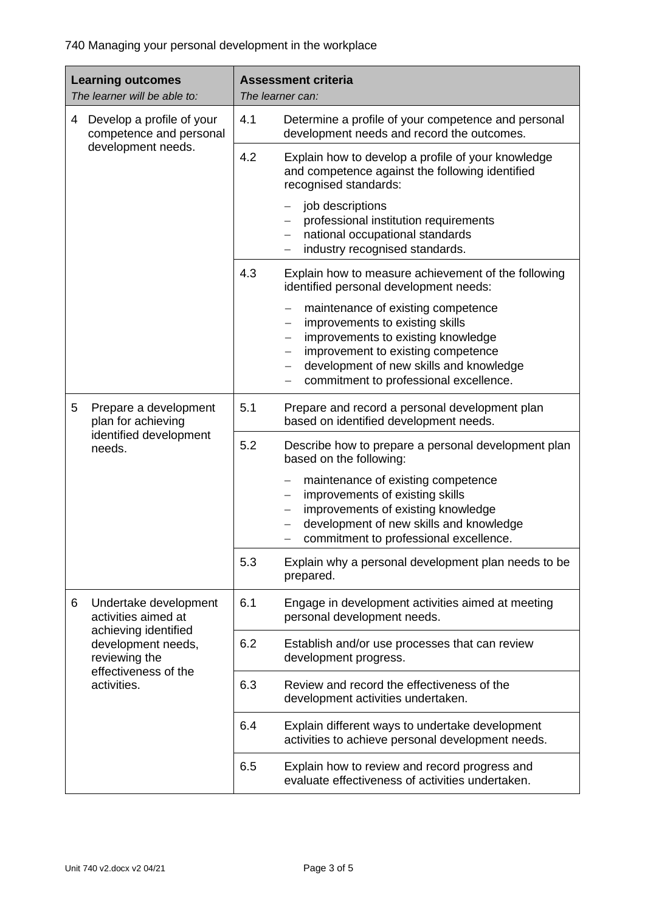740 Managing your personal development in the workplace

| <b>Learning outcomes</b><br>The learner will be able to:                            |     | <b>Assessment criteria</b><br>The learner can:                                                                                                                                                                                         |  |
|-------------------------------------------------------------------------------------|-----|----------------------------------------------------------------------------------------------------------------------------------------------------------------------------------------------------------------------------------------|--|
| Develop a profile of your<br>4<br>competence and personal                           | 4.1 | Determine a profile of your competence and personal<br>development needs and record the outcomes.                                                                                                                                      |  |
| development needs.                                                                  | 4.2 | Explain how to develop a profile of your knowledge<br>and competence against the following identified<br>recognised standards:                                                                                                         |  |
|                                                                                     |     | job descriptions<br>—<br>professional institution requirements<br>national occupational standards<br>industry recognised standards.                                                                                                    |  |
|                                                                                     | 4.3 | Explain how to measure achievement of the following<br>identified personal development needs:                                                                                                                                          |  |
|                                                                                     |     | maintenance of existing competence<br>improvements to existing skills<br>improvements to existing knowledge<br>improvement to existing competence<br>development of new skills and knowledge<br>commitment to professional excellence. |  |
| 5<br>Prepare a development<br>plan for achieving                                    | 5.1 | Prepare and record a personal development plan<br>based on identified development needs.                                                                                                                                               |  |
| identified development<br>needs.                                                    | 5.2 | Describe how to prepare a personal development plan<br>based on the following:                                                                                                                                                         |  |
|                                                                                     |     | maintenance of existing competence<br>—<br>improvements of existing skills<br>improvements of existing knowledge<br>development of new skills and knowledge<br>commitment to professional excellence.<br>—                             |  |
|                                                                                     | 5.3 | Explain why a personal development plan needs to be<br>prepared.                                                                                                                                                                       |  |
| Undertake development<br>6<br>activities aimed at                                   | 6.1 | Engage in development activities aimed at meeting<br>personal development needs.                                                                                                                                                       |  |
| achieving identified<br>development needs,<br>reviewing the<br>effectiveness of the | 6.2 | Establish and/or use processes that can review<br>development progress.                                                                                                                                                                |  |
| activities.                                                                         | 6.3 | Review and record the effectiveness of the<br>development activities undertaken.                                                                                                                                                       |  |
|                                                                                     | 6.4 | Explain different ways to undertake development<br>activities to achieve personal development needs.                                                                                                                                   |  |
|                                                                                     | 6.5 | Explain how to review and record progress and<br>evaluate effectiveness of activities undertaken.                                                                                                                                      |  |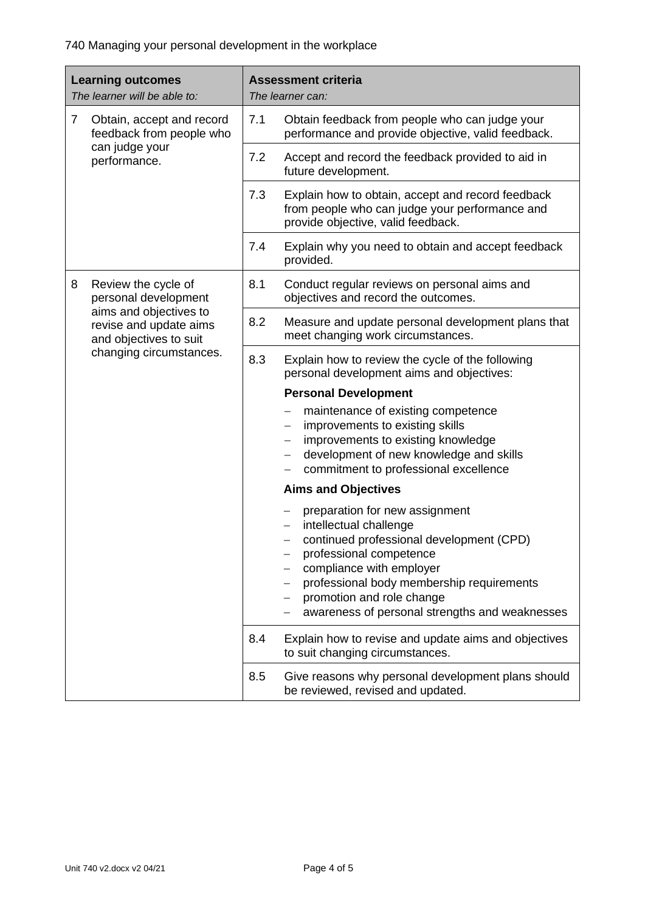740 Managing your personal development in the workplace

| <b>Learning outcomes</b><br>The learner will be able to: |                                                                            | <b>Assessment criteria</b><br>The learner can: |                                                                                                                                                                                                                                                                                         |
|----------------------------------------------------------|----------------------------------------------------------------------------|------------------------------------------------|-----------------------------------------------------------------------------------------------------------------------------------------------------------------------------------------------------------------------------------------------------------------------------------------|
| $\overline{7}$<br>can judge your                         | Obtain, accept and record<br>feedback from people who                      | 7.1                                            | Obtain feedback from people who can judge your<br>performance and provide objective, valid feedback.                                                                                                                                                                                    |
|                                                          | performance.                                                               | 7.2                                            | Accept and record the feedback provided to aid in<br>future development.                                                                                                                                                                                                                |
|                                                          |                                                                            | 7.3                                            | Explain how to obtain, accept and record feedback<br>from people who can judge your performance and<br>provide objective, valid feedback.                                                                                                                                               |
|                                                          |                                                                            | 7.4                                            | Explain why you need to obtain and accept feedback<br>provided.                                                                                                                                                                                                                         |
| 8                                                        | Review the cycle of<br>personal development                                | 8.1                                            | Conduct regular reviews on personal aims and<br>objectives and record the outcomes.                                                                                                                                                                                                     |
|                                                          | aims and objectives to<br>revise and update aims<br>and objectives to suit | 8.2                                            | Measure and update personal development plans that<br>meet changing work circumstances.                                                                                                                                                                                                 |
|                                                          | changing circumstances.                                                    | 8.3                                            | Explain how to review the cycle of the following<br>personal development aims and objectives:                                                                                                                                                                                           |
|                                                          |                                                                            |                                                | <b>Personal Development</b>                                                                                                                                                                                                                                                             |
|                                                          |                                                                            |                                                | maintenance of existing competence<br>improvements to existing skills<br>improvements to existing knowledge<br>development of new knowledge and skills<br>commitment to professional excellence                                                                                         |
|                                                          |                                                                            |                                                | <b>Aims and Objectives</b>                                                                                                                                                                                                                                                              |
|                                                          |                                                                            |                                                | preparation for new assignment<br>intellectual challenge<br>continued professional development (CPD)<br>professional competence<br>compliance with employer<br>professional body membership requirements<br>promotion and role change<br>awareness of personal strengths and weaknesses |
|                                                          |                                                                            | 8.4                                            | Explain how to revise and update aims and objectives<br>to suit changing circumstances.                                                                                                                                                                                                 |
|                                                          |                                                                            | 8.5                                            | Give reasons why personal development plans should<br>be reviewed, revised and updated.                                                                                                                                                                                                 |